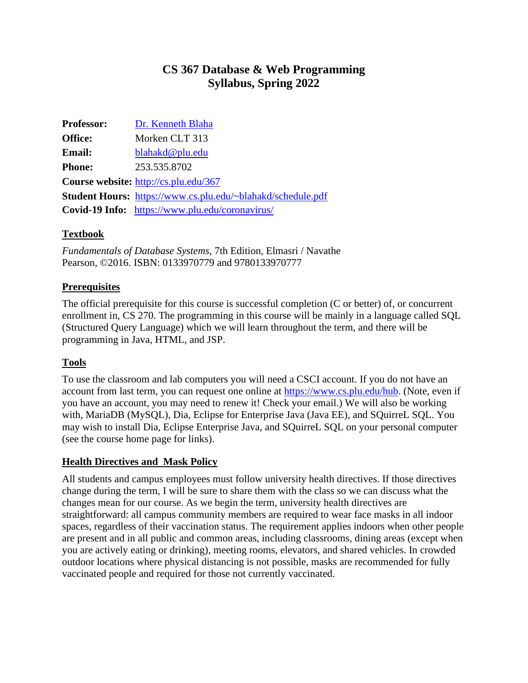# **CS 367 Database & Web Programming Syllabus, Spring 2022**

| <b>Professor:</b> | Dr. Kenneth Blaha                                           |  |
|-------------------|-------------------------------------------------------------|--|
| <b>Office:</b>    | Morken CLT 313                                              |  |
| <b>Email:</b>     | blahakd@plu.edu                                             |  |
| <b>Phone:</b>     | 253.535.8702                                                |  |
|                   | <b>Course website:</b> http://cs.plu.edu/367                |  |
|                   | Student Hours: https://www.cs.plu.edu/~blahakd/schedule.pdf |  |
|                   | Covid-19 Info: https://www.plu.edu/coronavirus/             |  |

# **Textbook**

*Fundamentals of Database Systems,* 7th Edition, Elmasri / Navathe Pearson, ©2016. ISBN: 0133970779 and 9780133970777

# **Prerequisites**

The official prerequisite for this course is successful completion (C or better) of, or concurrent enrollment in, CS 270. The programming in this course will be mainly in a language called SQL (Structured Query Language) which we will learn throughout the term, and there will be programming in Java, HTML, and JSP.

#### **Tools**

To use the classroom and lab computers you will need a CSCI account. If you do not have an account from last term, you can request one online at [https://www.cs.plu.edu/hub.](https://www.cs.plu.edu/hub) (Note, even if you have an account, you may need to renew it! Check your email.) We will also be working with, MariaDB (MySQL), Dia, Eclipse for Enterprise Java (Java EE), and SQuirreL SQL. You may wish to install Dia, Eclipse Enterprise Java, and SQuirreL SQL on your personal computer (see the course home page for links).

#### **Health Directives and Mask Policy**

All students and campus employees must follow university health directives. If those directives change during the term, I will be sure to share them with the class so we can discuss what the changes mean for our course. As we begin the term, university health directives are straightforward: all campus community members are required to wear face masks in all indoor spaces, regardless of their vaccination status. The requirement applies indoors when other people are present and in all public and common areas, including classrooms, dining areas (except when you are actively eating or drinking), meeting rooms, elevators, and shared vehicles. In crowded outdoor locations where physical distancing is not possible, masks are recommended for fully vaccinated people and required for those not currently vaccinated.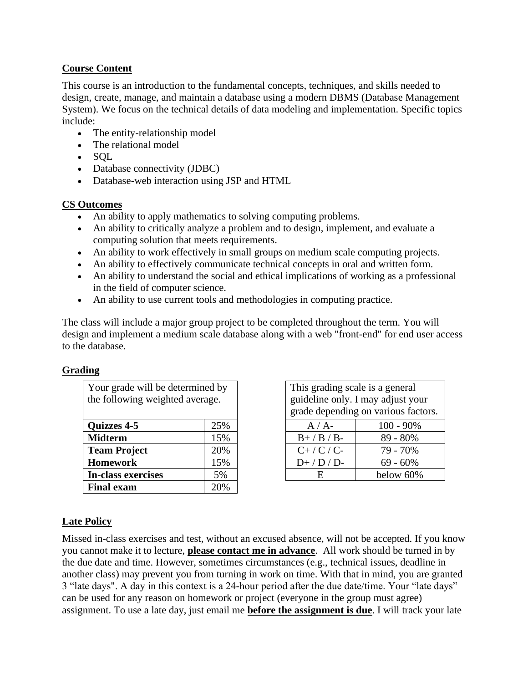### **Course Content**

This course is an introduction to the fundamental concepts, techniques, and skills needed to design, create, manage, and maintain a database using a modern DBMS (Database Management System). We focus on the technical details of data modeling and implementation. Specific topics include:

- The entity-relationship model
- The relational model
- SQL
- Database connectivity (JDBC)
- Database-web interaction using JSP and HTML

#### **CS Outcomes**

- An ability to apply mathematics to solving computing problems.
- An ability to critically analyze a problem and to design, implement, and evaluate a computing solution that meets requirements.
- An ability to work effectively in small groups on medium scale computing projects.
- An ability to effectively communicate technical concepts in oral and written form.
- An ability to understand the social and ethical implications of working as a professional in the field of computer science.
- An ability to use current tools and methodologies in computing practice.

The class will include a major group project to be completed throughout the term. You will design and implement a medium scale database along with a web "front-end" for end user access to the database.

#### **Grading**

| Your grade will be determined by<br>the following weighted average. |     | This grading scale is a general<br>guideline only. I may adjust you<br>grade depending on various fact |              |
|---------------------------------------------------------------------|-----|--------------------------------------------------------------------------------------------------------|--------------|
| <b>Quizzes 4-5</b>                                                  | 25% | $A/A-$                                                                                                 | $100 - 90\%$ |
| <b>Midterm</b>                                                      | 15% | $B+$ / $B$ / $B-$                                                                                      | 89 - 80%     |
| <b>Team Project</b>                                                 | 20% | $C+$ / $C$ / $C$ -                                                                                     | 79 - 70%     |
| <b>Homework</b>                                                     | 15% | $D+$ / $D$ / $D$ -                                                                                     | $69 - 60\%$  |
| <b>In-class exercises</b>                                           | 5%  | E                                                                                                      | below 60%    |
| <b>Final exam</b>                                                   | 20% |                                                                                                        |              |

This grading scale is a general guideline only. I may adjust your grade depending on various factors.

| $A/A$ -            | $100 - 90\%$ |
|--------------------|--------------|
| $B+$ / $B$ / $B-$  | 89 - 80%     |
| $C+$ / $C$ / $C$ - | 79 - 70%     |
| $D+$ / $D$ / $D$ - | $69 - 60\%$  |
| H.                 | below 60%    |

#### **Late Policy**

Missed in-class exercises and test, without an excused absence, will not be accepted. If you know you cannot make it to lecture, **please contact me in advance**. All work should be turned in by the due date and time. However, sometimes circumstances (e.g., technical issues, deadline in another class) may prevent you from turning in work on time. With that in mind, you are granted 3 "late days". A day in this context is a 24-hour period after the due date/time. Your "late days" can be used for any reason on homework or project (everyone in the group must agree) assignment. To use a late day, just email me **before the assignment is due**. I will track your late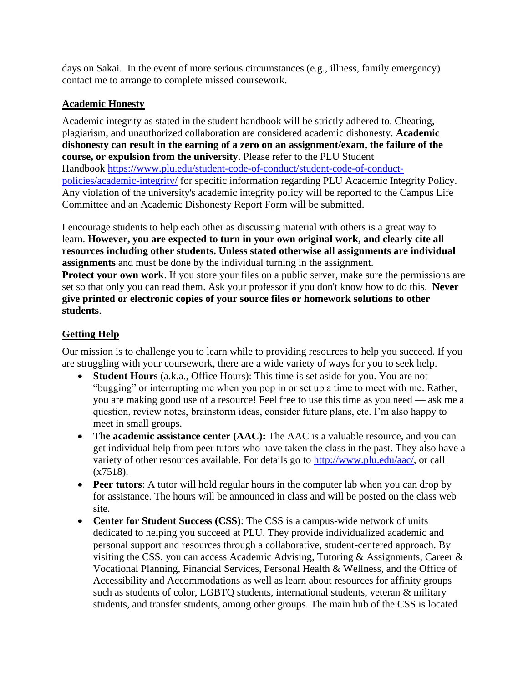days on Sakai. In the event of more serious circumstances (e.g., illness, family emergency) contact me to arrange to complete missed coursework.

### **Academic Honesty**

Academic integrity as stated in the student handbook will be strictly adhered to. Cheating, plagiarism, and unauthorized collaboration are considered academic dishonesty. **Academic dishonesty can result in the earning of a zero on an assignment/exam, the failure of the course, or expulsion from the university**. Please refer to the PLU Student Handbook [https://www.plu.edu/student-code-of-conduct/student-code-of-conduct](https://www.plu.edu/student-code-of-conduct/student-code-of-conduct-policies/academic-integrity/)[policies/academic-integrity/](https://www.plu.edu/student-code-of-conduct/student-code-of-conduct-policies/academic-integrity/) for specific information regarding PLU Academic Integrity Policy. Any violation of the university's academic integrity policy will be reported to the Campus Life Committee and an Academic Dishonesty Report Form will be submitted.

I encourage students to help each other as discussing material with others is a great way to learn. **However, you are expected to turn in your own original work, and clearly cite all resources including other students. Unless stated otherwise all assignments are individual assignments** and must be done by the individual turning in the assignment. **Protect your own work**. If you store your files on a public server, make sure the permissions are set so that only you can read them. Ask your professor if you don't know how to do this. **Never give printed or electronic copies of your source files or homework solutions to other students**.

# **Getting Help**

Our mission is to challenge you to learn while to providing resources to help you succeed. If you are struggling with your coursework, there are a wide variety of ways for you to seek help.

- **Student Hours** (a.k.a., Office Hours): This time is set aside for you. You are not "bugging" or interrupting me when you pop in or set up a time to meet with me. Rather, you are making good use of a resource! Feel free to use this time as you need — ask me a question, review notes, brainstorm ideas, consider future plans, etc. I'm also happy to meet in small groups.
- **The academic assistance center (AAC):** The AAC is a valuable resource, and you can get individual help from peer tutors who have taken the class in the past. They also have a variety of other resources available. For details go to http://www.plu.edu/aac/, or call  $(x7518)$ .
- **Peer tutors**: A tutor will hold regular hours in the computer lab when you can drop by for assistance. The hours will be announced in class and will be posted on the class web site.
- **Center for Student Success (CSS)**: The CSS is a campus-wide network of units dedicated to helping you succeed at PLU. They provide individualized academic and personal support and resources through a collaborative, student-centered approach. By visiting the CSS, you can access Academic Advising, Tutoring & Assignments, Career & Vocational Planning, Financial Services, Personal Health & Wellness, and the Office of Accessibility and Accommodations as well as learn about resources for affinity groups such as students of color, LGBTQ students, international students, veteran & military students, and transfer students, among other groups. The main hub of the CSS is located